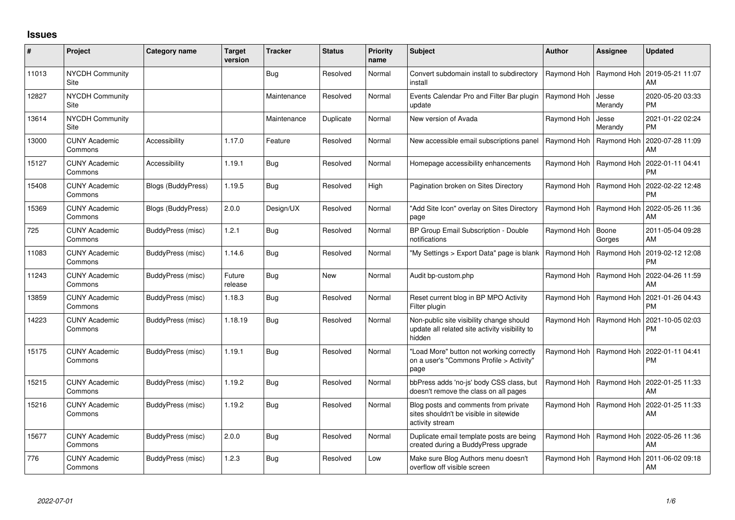## **Issues**

| ∦     | Project                         | <b>Category name</b>      | <b>Target</b><br>version | <b>Tracker</b> | <b>Status</b> | <b>Priority</b><br>name | Subject                                                                                              | <b>Author</b> | Assignee                  | <b>Updated</b>                |
|-------|---------------------------------|---------------------------|--------------------------|----------------|---------------|-------------------------|------------------------------------------------------------------------------------------------------|---------------|---------------------------|-------------------------------|
| 11013 | <b>NYCDH Community</b><br>Site  |                           |                          | Bug            | Resolved      | Normal                  | Convert subdomain install to subdirectory<br>install                                                 | Raymond Hoh   | Raymond Hoh               | 2019-05-21 11:07<br>AM        |
| 12827 | <b>NYCDH Community</b><br>Site  |                           |                          | Maintenance    | Resolved      | Normal                  | Events Calendar Pro and Filter Bar plugin<br>update                                                  | Raymond Hoh   | Jesse<br>Merandy          | 2020-05-20 03:33<br><b>PM</b> |
| 13614 | <b>NYCDH Community</b><br>Site  |                           |                          | Maintenance    | Duplicate     | Normal                  | New version of Avada                                                                                 | Raymond Hoh   | Jesse<br>Merandy          | 2021-01-22 02:24<br><b>PM</b> |
| 13000 | <b>CUNY Academic</b><br>Commons | Accessibility             | 1.17.0                   | Feature        | Resolved      | Normal                  | New accessible email subscriptions panel                                                             | Raymond Hoh   | Raymond Hoh               | 2020-07-28 11:09<br>AM        |
| 15127 | <b>CUNY Academic</b><br>Commons | Accessibility             | 1.19.1                   | Bug            | Resolved      | Normal                  | Homepage accessibility enhancements                                                                  |               | Raymond Hoh   Raymond Hoh | 2022-01-11 04:41<br><b>PM</b> |
| 15408 | <b>CUNY Academic</b><br>Commons | <b>Blogs (BuddyPress)</b> | 1.19.5                   | Bug            | Resolved      | High                    | Pagination broken on Sites Directory                                                                 |               | Raymond Hoh   Raymond Hoh | 2022-02-22 12:48<br><b>PM</b> |
| 15369 | <b>CUNY Academic</b><br>Commons | <b>Blogs (BuddyPress)</b> | 2.0.0                    | Design/UX      | Resolved      | Normal                  | "Add Site Icon" overlay on Sites Directory<br>page                                                   |               | Raymond Hoh   Raymond Hoh | 2022-05-26 11:36<br>AM        |
| 725   | <b>CUNY Academic</b><br>Commons | BuddyPress (misc)         | 1.2.1                    | <b>Bug</b>     | Resolved      | Normal                  | BP Group Email Subscription - Double<br>notifications                                                | Raymond Hoh   | Boone<br>Gorges           | 2011-05-04 09:28<br>AM        |
| 11083 | <b>CUNY Academic</b><br>Commons | BuddyPress (misc)         | 1.14.6                   | <b>Bug</b>     | Resolved      | Normal                  | "My Settings > Export Data" page is blank                                                            | Raymond Hoh   | Raymond Hoh               | 2019-02-12 12:08<br><b>PM</b> |
| 11243 | <b>CUNY Academic</b><br>Commons | BuddyPress (misc)         | Future<br>release        | <b>Bug</b>     | New           | Normal                  | Audit bp-custom.php                                                                                  | Raymond Hoh   | Raymond Hoh               | 2022-04-26 11:59<br>AM        |
| 13859 | <b>CUNY Academic</b><br>Commons | BuddyPress (misc)         | 1.18.3                   | Bug            | Resolved      | Normal                  | Reset current blog in BP MPO Activity<br>Filter plugin                                               | Raymond Hoh   | Raymond Hoh               | 2021-01-26 04:43<br><b>PM</b> |
| 14223 | <b>CUNY Academic</b><br>Commons | BuddyPress (misc)         | 1.18.19                  | Bug            | Resolved      | Normal                  | Non-public site visibility change should<br>update all related site activity visibility to<br>hidden | Raymond Hoh   | Raymond Hoh               | 2021-10-05 02:03<br><b>PM</b> |
| 15175 | <b>CUNY Academic</b><br>Commons | BuddyPress (misc)         | 1.19.1                   | <b>Bug</b>     | Resolved      | Normal                  | "Load More" button not working correctly<br>on a user's "Commons Profile > Activity"<br>page         |               | Raymond Hoh   Raymond Hoh | 2022-01-11 04:41<br><b>PM</b> |
| 15215 | <b>CUNY Academic</b><br>Commons | <b>BuddyPress</b> (misc)  | 1.19.2                   | <b>Bug</b>     | Resolved      | Normal                  | bbPress adds 'no-js' body CSS class, but<br>doesn't remove the class on all pages                    |               | Raymond Hoh   Raymond Hoh | 2022-01-25 11:33<br>AM        |
| 15216 | <b>CUNY Academic</b><br>Commons | BuddyPress (misc)         | 1.19.2                   | Bug            | Resolved      | Normal                  | Blog posts and comments from private<br>sites shouldn't be visible in sitewide<br>activity stream    |               | Raymond Hoh   Raymond Hoh | 2022-01-25 11:33<br>AM        |
| 15677 | <b>CUNY Academic</b><br>Commons | BuddyPress (misc)         | 2.0.0                    | <b>Bug</b>     | Resolved      | Normal                  | Duplicate email template posts are being<br>created during a BuddyPress upgrade                      |               | Raymond Hoh   Raymond Hoh | 2022-05-26 11:36<br>AM        |
| 776   | <b>CUNY Academic</b><br>Commons | BuddyPress (misc)         | 1.2.3                    | Bug            | Resolved      | Low                     | Make sure Blog Authors menu doesn't<br>overflow off visible screen                                   | Raymond Hoh   | Raymond Hoh               | 2011-06-02 09:18<br>AM        |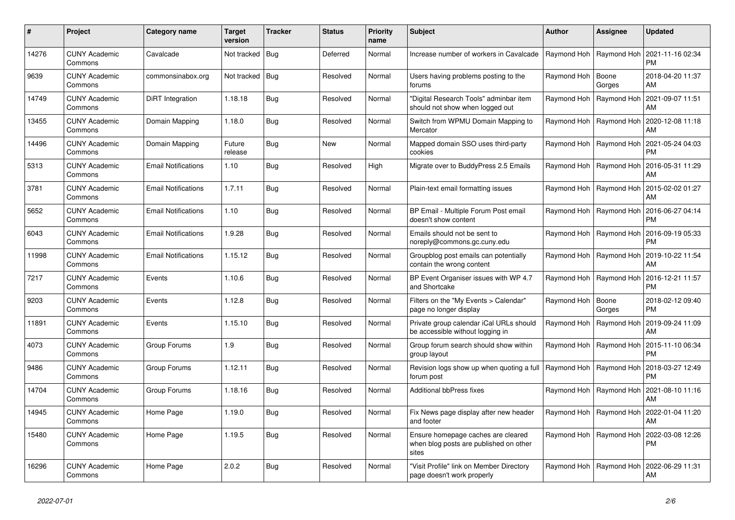| #     | Project                         | Category name              | <b>Target</b><br>version | Tracker    | <b>Status</b> | <b>Priority</b><br>name | <b>Subject</b>                                                                        | <b>Author</b>             | Assignee                  | <b>Updated</b>                                     |
|-------|---------------------------------|----------------------------|--------------------------|------------|---------------|-------------------------|---------------------------------------------------------------------------------------|---------------------------|---------------------------|----------------------------------------------------|
| 14276 | <b>CUNY Academic</b><br>Commons | Cavalcade                  | Not tracked   Bug        |            | Deferred      | Normal                  | Increase number of workers in Cavalcade                                               | Raymond Hoh   Raymond Hoh |                           | 2021-11-16 02:34<br><b>PM</b>                      |
| 9639  | <b>CUNY Academic</b><br>Commons | commonsinabox.org          | Not tracked   Bug        |            | Resolved      | Normal                  | Users having problems posting to the<br>forums                                        | Raymond Hoh               | Boone<br>Gorges           | 2018-04-20 11:37<br>AM                             |
| 14749 | <b>CUNY Academic</b><br>Commons | DiRT Integration           | 1.18.18                  | Bug        | Resolved      | Normal                  | 'Digital Research Tools" adminbar item<br>should not show when logged out             | Raymond Hoh               | Raymond Hoh               | 2021-09-07 11:51<br>AM                             |
| 13455 | <b>CUNY Academic</b><br>Commons | Domain Mapping             | 1.18.0                   | Bug        | Resolved      | Normal                  | Switch from WPMU Domain Mapping to<br>Mercator                                        |                           | Raymond Hoh   Raymond Hoh | 2020-12-08 11:18<br>AM                             |
| 14496 | <b>CUNY Academic</b><br>Commons | Domain Mapping             | Future<br>release        | Bug        | <b>New</b>    | Normal                  | Mapped domain SSO uses third-party<br>cookies                                         | Raymond Hoh   Raymond Hoh |                           | 2021-05-24 04:03<br><b>PM</b>                      |
| 5313  | <b>CUNY Academic</b><br>Commons | <b>Email Notifications</b> | 1.10                     | Bug        | Resolved      | High                    | Migrate over to BuddyPress 2.5 Emails                                                 |                           | Raymond Hoh   Raymond Hoh | 2016-05-31 11:29<br>AM                             |
| 3781  | <b>CUNY Academic</b><br>Commons | <b>Email Notifications</b> | 1.7.11                   | <b>Bug</b> | Resolved      | Normal                  | Plain-text email formatting issues                                                    |                           | Raymond Hoh   Raymond Hoh | 2015-02-02 01:27<br>AM                             |
| 5652  | <b>CUNY Academic</b><br>Commons | <b>Email Notifications</b> | 1.10                     | Bug        | Resolved      | Normal                  | BP Email - Multiple Forum Post email<br>doesn't show content                          |                           | Raymond Hoh   Raymond Hoh | 2016-06-27 04:14<br><b>PM</b>                      |
| 6043  | <b>CUNY Academic</b><br>Commons | <b>Email Notifications</b> | 1.9.28                   | Bug        | Resolved      | Normal                  | Emails should not be sent to<br>noreply@commons.gc.cuny.edu                           | Raymond Hoh               | Raymond Hoh               | 2016-09-19 05:33<br><b>PM</b>                      |
| 11998 | <b>CUNY Academic</b><br>Commons | <b>Email Notifications</b> | 1.15.12                  | Bug        | Resolved      | Normal                  | Groupblog post emails can potentially<br>contain the wrong content                    |                           |                           | Raymond Hoh   Raymond Hoh   2019-10-22 11:54<br>AM |
| 7217  | <b>CUNY Academic</b><br>Commons | Events                     | 1.10.6                   | Bug        | Resolved      | Normal                  | BP Event Organiser issues with WP 4.7<br>and Shortcake                                |                           | Raymond Hoh   Raymond Hoh | 2016-12-21 11:57<br><b>PM</b>                      |
| 9203  | <b>CUNY Academic</b><br>Commons | Events                     | 1.12.8                   | Bug        | Resolved      | Normal                  | Filters on the "My Events > Calendar"<br>page no longer display                       | Raymond Hoh               | Boone<br>Gorges           | 2018-02-12 09:40<br><b>PM</b>                      |
| 11891 | <b>CUNY Academic</b><br>Commons | Events                     | 1.15.10                  | Bug        | Resolved      | Normal                  | Private group calendar iCal URLs should<br>be accessible without logging in           |                           | Raymond Hoh   Raymond Hoh | 2019-09-24 11:09<br>AM                             |
| 4073  | <b>CUNY Academic</b><br>Commons | Group Forums               | 1.9                      | <b>Bug</b> | Resolved      | Normal                  | Group forum search should show within<br>group layout                                 | Raymond Hoh   Raymond Hoh |                           | 2015-11-10 06:34<br><b>PM</b>                      |
| 9486  | <b>CUNY Academic</b><br>Commons | Group Forums               | 1.12.11                  | Bug        | Resolved      | Normal                  | Revision logs show up when quoting a full<br>forum post                               | Raymond Hoh   Raymond Hoh |                           | 2018-03-27 12:49<br><b>PM</b>                      |
| 14704 | <b>CUNY Academic</b><br>Commons | Group Forums               | 1.18.16                  | Bug        | Resolved      | Normal                  | <b>Additional bbPress fixes</b>                                                       | Raymond Hoh               | Raymond Hoh               | 2021-08-10 11:16<br>AM                             |
| 14945 | <b>CUNY Academic</b><br>Commons | Home Page                  | 1.19.0                   | Bug        | Resolved      | Normal                  | Fix News page display after new header<br>and footer                                  | Raymond Hoh   Raymond Hoh |                           | 2022-01-04 11:20<br>AM                             |
| 15480 | <b>CUNY Academic</b><br>Commons | Home Page                  | 1.19.5                   | Bug        | Resolved      | Normal                  | Ensure homepage caches are cleared<br>when blog posts are published on other<br>sites | Raymond Hoh               | Raymond Hoh               | 2022-03-08 12:26<br><b>PM</b>                      |
| 16296 | CUNY Academic<br>Commons        | Home Page                  | 2.0.2                    | Bug        | Resolved      | Normal                  | 'Visit Profile" link on Member Directory<br>page doesn't work properly                |                           | Raymond Hoh   Raymond Hoh | 2022-06-29 11:31<br>AM                             |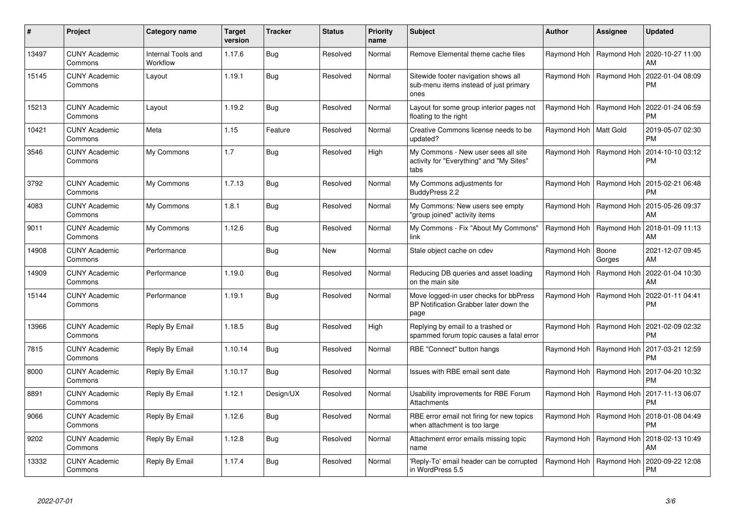| #     | <b>Project</b>                  | Category name                  | <b>Target</b><br>version | <b>Tracker</b> | <b>Status</b> | Priority<br>name | <b>Subject</b>                                                                           | <b>Author</b>             | Assignee                  | Updated                       |
|-------|---------------------------------|--------------------------------|--------------------------|----------------|---------------|------------------|------------------------------------------------------------------------------------------|---------------------------|---------------------------|-------------------------------|
| 13497 | <b>CUNY Academic</b><br>Commons | Internal Tools and<br>Workflow | 1.17.6                   | <b>Bug</b>     | Resolved      | Normal           | Remove Elemental theme cache files                                                       |                           | Raymond Hoh   Raymond Hoh | 2020-10-27 11:00<br>AM        |
| 15145 | <b>CUNY Academic</b><br>Commons | Layout                         | 1.19.1                   | <b>Bug</b>     | Resolved      | Normal           | Sitewide footer navigation shows all<br>sub-menu items instead of just primary<br>ones   | Raymond Hoh               | Raymond Hoh               | 2022-01-04 08:09<br>PM        |
| 15213 | <b>CUNY Academic</b><br>Commons | Layout                         | 1.19.2                   | <b>Bug</b>     | Resolved      | Normal           | Layout for some group interior pages not<br>floating to the right                        |                           | Raymond Hoh   Raymond Hoh | 2022-01-24 06:59<br>PM        |
| 10421 | <b>CUNY Academic</b><br>Commons | Meta                           | 1.15                     | Feature        | Resolved      | Normal           | Creative Commons license needs to be<br>updated?                                         | Raymond Hoh   Matt Gold   |                           | 2019-05-07 02:30<br>РM        |
| 3546  | <b>CUNY Academic</b><br>Commons | My Commons                     | 1.7                      | <b>Bug</b>     | Resolved      | High             | My Commons - New user sees all site<br>activity for "Everything" and "My Sites"<br>tabs  |                           | Raymond Hoh   Raymond Hoh | 2014-10-10 03:12<br>PM        |
| 3792  | <b>CUNY Academic</b><br>Commons | My Commons                     | 1.7.13                   | Bug            | Resolved      | Normal           | My Commons adjustments for<br>BuddyPress 2.2                                             | Raymond Hoh               | Raymond Hoh               | 2015-02-21 06:48<br>РM        |
| 4083  | <b>CUNY Academic</b><br>Commons | My Commons                     | 1.8.1                    | Bug            | Resolved      | Normal           | My Commons: New users see empty<br>"group joined" activity items                         | Raymond Hoh               | Raymond Hoh               | 2015-05-26 09:37<br>AM        |
| 9011  | <b>CUNY Academic</b><br>Commons | My Commons                     | 1.12.6                   | <b>Bug</b>     | Resolved      | Normal           | My Commons - Fix "About My Commons"<br>link                                              | Raymond Hoh   Raymond Hoh |                           | 2018-01-09 11:13<br>AM        |
| 14908 | <b>CUNY Academic</b><br>Commons | Performance                    |                          | Bug            | New           | Normal           | Stale object cache on cdev                                                               | Raymond Hoh               | Boone<br>Gorges           | 2021-12-07 09:45<br>AM        |
| 14909 | <b>CUNY Academic</b><br>Commons | Performance                    | 1.19.0                   | Bug            | Resolved      | Normal           | Reducing DB queries and asset loading<br>on the main site                                | Raymond Hoh               | Raymond Hoh               | 2022-01-04 10:30<br>АM        |
| 15144 | <b>CUNY Academic</b><br>Commons | Performance                    | 1.19.1                   | Bug            | Resolved      | Normal           | Move logged-in user checks for bbPress<br>BP Notification Grabber later down the<br>page |                           | Raymond Hoh   Raymond Hoh | 2022-01-11 04:41<br>PM        |
| 13966 | <b>CUNY Academic</b><br>Commons | Reply By Email                 | 1.18.5                   | Bug            | Resolved      | High             | Replying by email to a trashed or<br>spammed forum topic causes a fatal error            | Raymond Hoh               | Raymond Hoh               | 2021-02-09 02:32<br>PM        |
| 7815  | <b>CUNY Academic</b><br>Commons | Reply By Email                 | 1.10.14                  | <b>Bug</b>     | Resolved      | Normal           | RBE "Connect" button hangs                                                               |                           | Raymond Hoh   Raymond Hoh | 2017-03-21 12:59<br>PM        |
| 8000  | <b>CUNY Academic</b><br>Commons | Reply By Email                 | 1.10.17                  | <b>Bug</b>     | Resolved      | Normal           | Issues with RBE email sent date                                                          | Raymond Hoh               | Raymond Hoh               | 2017-04-20 10:32<br>PM        |
| 8891  | <b>CUNY Academic</b><br>Commons | Reply By Email                 | 1.12.1                   | Design/UX      | Resolved      | Normal           | Usability improvements for RBE Forum<br><b>Attachments</b>                               | Raymond Hoh               | Raymond Hoh               | 2017-11-13 06:07<br>PM        |
| 9066  | <b>CUNY Academic</b><br>Commons | Reply By Email                 | 1.12.6                   | <b>Bug</b>     | Resolved      | Normal           | RBE error email not firing for new topics<br>when attachment is too large                | Raymond Hoh               | Raymond Hoh               | 2018-01-08 04:49<br><b>PM</b> |
| 9202  | <b>CUNY Academic</b><br>Commons | Reply By Email                 | 1.12.8                   | <b>Bug</b>     | Resolved      | Normal           | Attachment error emails missing topic<br>name                                            | Raymond Hoh               | Raymond Hoh               | 2018-02-13 10:49<br>AM        |
| 13332 | CUNY Academic<br>Commons        | Reply By Email                 | 1.17.4                   | Bug            | Resolved      | Normal           | 'Reply-To' email header can be corrupted<br>in WordPress 5.5                             | Raymond Hoh               | Raymond Hoh               | 2020-09-22 12:08<br>PM        |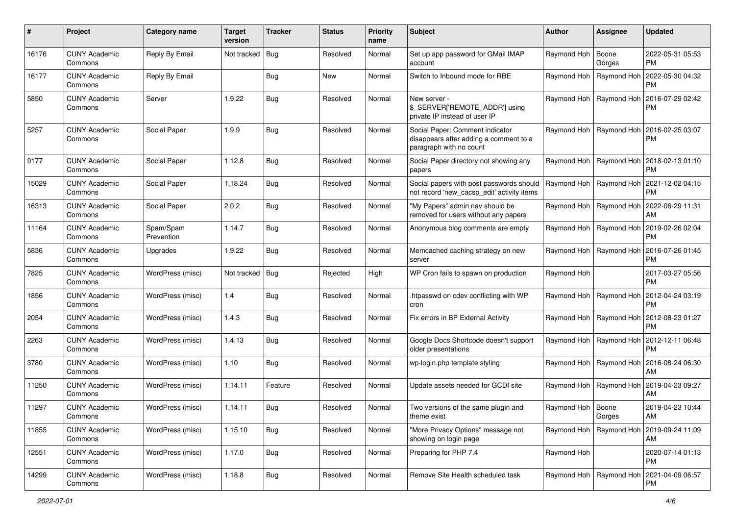| #     | Project                         | Category name           | <b>Target</b><br>version | <b>Tracker</b> | <b>Status</b> | <b>Priority</b><br>name | <b>Subject</b>                                                                                       | <b>Author</b>             | <b>Assignee</b>           | <b>Updated</b>                |
|-------|---------------------------------|-------------------------|--------------------------|----------------|---------------|-------------------------|------------------------------------------------------------------------------------------------------|---------------------------|---------------------------|-------------------------------|
| 16176 | <b>CUNY Academic</b><br>Commons | Reply By Email          | Not tracked              | <b>Bug</b>     | Resolved      | Normal                  | Set up app password for GMail IMAP<br>account                                                        | Raymond Hoh               | Boone<br>Gorges           | 2022-05-31 05:53<br>PM.       |
| 16177 | <b>CUNY Academic</b><br>Commons | Reply By Email          |                          | Bug            | New           | Normal                  | Switch to Inbound mode for RBE                                                                       | Raymond Hoh               | Raymond Hoh               | 2022-05-30 04:32<br>PM        |
| 5850  | CUNY Academic<br>Commons        | Server                  | 1.9.22                   | Bug            | Resolved      | Normal                  | New server -<br>\$_SERVER['REMOTE_ADDR'] using<br>private IP instead of user IP                      |                           | Raymond Hoh   Raymond Hoh | 2016-07-29 02:42<br><b>PM</b> |
| 5257  | <b>CUNY Academic</b><br>Commons | Social Paper            | 1.9.9                    | Bug            | Resolved      | Normal                  | Social Paper: Comment indicator<br>disappears after adding a comment to a<br>paragraph with no count |                           | Raymond Hoh   Raymond Hoh | 2016-02-25 03:07<br><b>PM</b> |
| 9177  | <b>CUNY Academic</b><br>Commons | Social Paper            | 1.12.8                   | Bug            | Resolved      | Normal                  | Social Paper directory not showing any<br>papers                                                     |                           | Raymond Hoh   Raymond Hoh | 2018-02-13 01:10<br>PM.       |
| 15029 | <b>CUNY Academic</b><br>Commons | Social Paper            | 1.18.24                  | Bug            | Resolved      | Normal                  | Social papers with post passwords should<br>not record 'new_cacsp_edit' activity items               | Raymond Hoh   Raymond Hoh |                           | 2021-12-02 04:15<br><b>PM</b> |
| 16313 | <b>CUNY Academic</b><br>Commons | Social Paper            | 2.0.2                    | Bug            | Resolved      | Normal                  | "My Papers" admin nav should be<br>removed for users without any papers                              |                           | Raymond Hoh   Raymond Hoh | 2022-06-29 11:31<br>AM        |
| 11164 | <b>CUNY Academic</b><br>Commons | Spam/Spam<br>Prevention | 1.14.7                   | Bug            | Resolved      | Normal                  | Anonymous blog comments are empty                                                                    |                           | Raymond Hoh   Raymond Hoh | 2019-02-26 02:04<br><b>PM</b> |
| 5836  | <b>CUNY Academic</b><br>Commons | Upgrades                | 1.9.22                   | Bug            | Resolved      | Normal                  | Memcached caching strategy on new<br>server                                                          |                           | Raymond Hoh   Raymond Hoh | 2016-07-26 01:45<br>PM.       |
| 7825  | <b>CUNY Academic</b><br>Commons | WordPress (misc)        | Not tracked              | <b>Bug</b>     | Rejected      | High                    | WP Cron fails to spawn on production                                                                 | Raymond Hoh               |                           | 2017-03-27 05:56<br><b>PM</b> |
| 1856  | <b>CUNY Academic</b><br>Commons | WordPress (misc)        | 1.4                      | Bug            | Resolved      | Normal                  | htpasswd on cdev conflicting with WP<br>cron                                                         |                           | Raymond Hoh   Raymond Hoh | 2012-04-24 03:19<br><b>PM</b> |
| 2054  | <b>CUNY Academic</b><br>Commons | WordPress (misc)        | 1.4.3                    | Bug            | Resolved      | Normal                  | Fix errors in BP External Activity                                                                   | Raymond Hoh   Raymond Hoh |                           | 2012-08-23 01:27<br><b>PM</b> |
| 2263  | <b>CUNY Academic</b><br>Commons | WordPress (misc)        | 1.4.13                   | <b>Bug</b>     | Resolved      | Normal                  | Google Docs Shortcode doesn't support<br>older presentations                                         |                           | Raymond Hoh   Raymond Hoh | 2012-12-11 06:48<br><b>PM</b> |
| 3780  | <b>CUNY Academic</b><br>Commons | WordPress (misc)        | 1.10                     | Bug            | Resolved      | Normal                  | wp-login.php template styling                                                                        | Raymond Hoh   Raymond Hoh |                           | 2016-08-24 06:30<br>AM        |
| 11250 | <b>CUNY Academic</b><br>Commons | WordPress (misc)        | 1.14.11                  | Feature        | Resolved      | Normal                  | Update assets needed for GCDI site                                                                   |                           | Raymond Hoh   Raymond Hoh | 2019-04-23 09:27<br>AM        |
| 11297 | CUNY Academic<br>Commons        | WordPress (misc)        | 1.14.11                  | Bug            | Resolved      | Normal                  | Two versions of the same plugin and<br>theme exist                                                   | Raymond Hoh   Boone       | Gorges                    | 2019-04-23 10:44<br>AM        |
| 11855 | <b>CUNY Academic</b><br>Commons | WordPress (misc)        | 1.15.10                  | <b>Bug</b>     | Resolved      | Normal                  | "More Privacy Options" message not<br>showing on login page                                          | Raymond Hoh   Raymond Hoh |                           | 2019-09-24 11:09<br>AM        |
| 12551 | <b>CUNY Academic</b><br>Commons | WordPress (misc)        | 1.17.0                   | <b>Bug</b>     | Resolved      | Normal                  | Preparing for PHP 7.4                                                                                | Raymond Hoh               |                           | 2020-07-14 01:13<br><b>PM</b> |
| 14299 | <b>CUNY Academic</b><br>Commons | WordPress (misc)        | 1.18.8                   | <b>Bug</b>     | Resolved      | Normal                  | Remove Site Health scheduled task                                                                    |                           | Raymond Hoh   Raymond Hoh | 2021-04-09 06:57<br><b>PM</b> |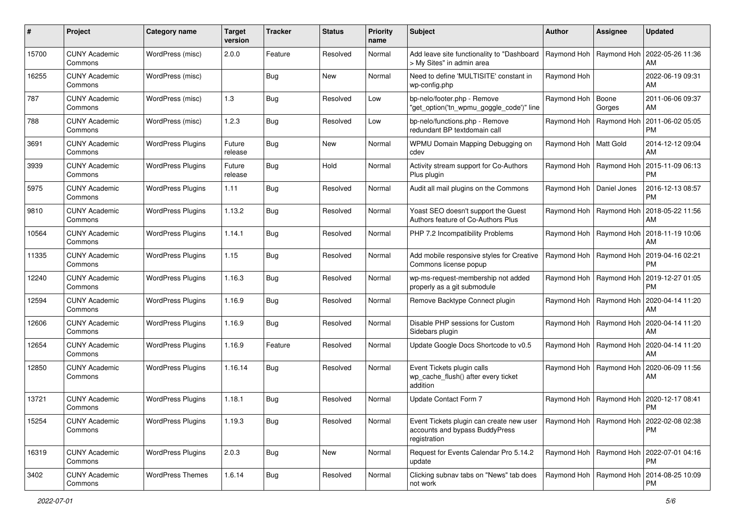| #     | Project                         | Category name            | <b>Target</b><br>version | <b>Tracker</b> | <b>Status</b> | <b>Priority</b><br>name | <b>Subject</b>                                                                             | <b>Author</b>              | <b>Assignee</b>           | <b>Updated</b>                                            |
|-------|---------------------------------|--------------------------|--------------------------|----------------|---------------|-------------------------|--------------------------------------------------------------------------------------------|----------------------------|---------------------------|-----------------------------------------------------------|
| 15700 | <b>CUNY Academic</b><br>Commons | WordPress (misc)         | 2.0.0                    | Feature        | Resolved      | Normal                  | Add leave site functionality to "Dashboard<br>> My Sites" in admin area                    |                            | Raymond Hoh   Raymond Hoh | 2022-05-26 11:36<br>AM                                    |
| 16255 | <b>CUNY Academic</b><br>Commons | WordPress (misc)         |                          | <b>Bug</b>     | <b>New</b>    | Normal                  | Need to define 'MULTISITE' constant in<br>wp-config.php                                    | Raymond Hoh                |                           | 2022-06-19 09:31<br>AM                                    |
| 787   | <b>CUNY Academic</b><br>Commons | WordPress (misc)         | 1.3                      | Bug            | Resolved      | Low                     | bp-nelo/footer.php - Remove<br>"get_option('tn_wpmu_goggle_code')" line                    | Raymond Hoh   Boone        | Gorges                    | 2011-06-06 09:37<br>AM                                    |
| 788   | <b>CUNY Academic</b><br>Commons | WordPress (misc)         | 1.2.3                    | Bug            | Resolved      | Low                     | bp-nelo/functions.php - Remove<br>redundant BP textdomain call                             | Raymond Hoh                | Raymond Hoh               | 2011-06-02 05:05<br><b>PM</b>                             |
| 3691  | <b>CUNY Academic</b><br>Commons | <b>WordPress Plugins</b> | Future<br>release        | Bug            | <b>New</b>    | Normal                  | WPMU Domain Mapping Debugging on<br>cdev                                                   | Raymond Hoh   Matt Gold    |                           | 2014-12-12 09:04<br>AM                                    |
| 3939  | <b>CUNY Academic</b><br>Commons | <b>WordPress Plugins</b> | Future<br>release        | <b>Bug</b>     | Hold          | Normal                  | Activity stream support for Co-Authors<br>Plus plugin                                      |                            | Raymond Hoh   Raymond Hoh | 2015-11-09 06:13<br><b>PM</b>                             |
| 5975  | <b>CUNY Academic</b><br>Commons | <b>WordPress Plugins</b> | 1.11                     | Bug            | Resolved      | Normal                  | Audit all mail plugins on the Commons                                                      | Raymond Hoh   Daniel Jones |                           | 2016-12-13 08:57<br><b>PM</b>                             |
| 9810  | <b>CUNY Academic</b><br>Commons | <b>WordPress Plugins</b> | 1.13.2                   | Bug            | Resolved      | Normal                  | Yoast SEO doesn't support the Guest<br>Authors feature of Co-Authors Plus                  |                            | Raymond Hoh   Raymond Hoh | 2018-05-22 11:56<br>AM                                    |
| 10564 | <b>CUNY Academic</b><br>Commons | <b>WordPress Plugins</b> | 1.14.1                   | <b>Bug</b>     | Resolved      | Normal                  | PHP 7.2 Incompatibility Problems                                                           |                            | Raymond Hoh   Raymond Hoh | 2018-11-19 10:06<br>AM                                    |
| 11335 | <b>CUNY Academic</b><br>Commons | <b>WordPress Plugins</b> | 1.15                     | Bug            | Resolved      | Normal                  | Add mobile responsive styles for Creative<br>Commons license popup                         |                            | Raymond Hoh   Raymond Hoh | 2019-04-16 02:21<br><b>PM</b>                             |
| 12240 | <b>CUNY Academic</b><br>Commons | <b>WordPress Plugins</b> | 1.16.3                   | Bug            | Resolved      | Normal                  | wp-ms-request-membership not added<br>properly as a git submodule                          |                            | Raymond Hoh   Raymond Hoh | 2019-12-27 01:05<br><b>PM</b>                             |
| 12594 | <b>CUNY Academic</b><br>Commons | <b>WordPress Plugins</b> | 1.16.9                   | Bug            | Resolved      | Normal                  | Remove Backtype Connect plugin                                                             |                            | Raymond Hoh   Raymond Hoh | 2020-04-14 11:20<br>AM                                    |
| 12606 | <b>CUNY Academic</b><br>Commons | <b>WordPress Plugins</b> | 1.16.9                   | Bug            | Resolved      | Normal                  | Disable PHP sessions for Custom<br>Sidebars plugin                                         |                            | Raymond Hoh   Raymond Hoh | 2020-04-14 11:20<br>AM                                    |
| 12654 | <b>CUNY Academic</b><br>Commons | <b>WordPress Plugins</b> | 1.16.9                   | Feature        | Resolved      | Normal                  | Update Google Docs Shortcode to v0.5                                                       |                            | Raymond Hoh   Raymond Hoh | 2020-04-14 11:20<br>AM                                    |
| 12850 | <b>CUNY Academic</b><br>Commons | <b>WordPress Plugins</b> | 1.16.14                  | Bug            | Resolved      | Normal                  | Event Tickets plugin calls<br>wp_cache_flush() after every ticket<br>addition              |                            | Raymond Hoh   Raymond Hoh | 2020-06-09 11:56<br>AM                                    |
| 13721 | <b>CUNY Academic</b><br>Commons | <b>WordPress Plugins</b> | 1.18.1                   | Bug            | Resolved      | Normal                  | Update Contact Form 7                                                                      | Raymond Hoh                | Raymond Hoh               | 2020-12-17 08:41<br><b>PM</b>                             |
| 15254 | <b>CUNY Academic</b><br>Commons | <b>WordPress Plugins</b> | 1.19.3                   | Bug            | Resolved      | Normal                  | Event Tickets plugin can create new user<br>accounts and bypass BuddyPress<br>registration |                            |                           | Raymond Hoh   Raymond Hoh   2022-02-08 02:38<br><b>PM</b> |
| 16319 | <b>CUNY Academic</b><br>Commons | <b>WordPress Plugins</b> | 2.0.3                    | Bug            | New           | Normal                  | Request for Events Calendar Pro 5.14.2<br>update                                           |                            | Raymond Hoh   Raymond Hoh | 2022-07-01 04:16<br>PM                                    |
| 3402  | <b>CUNY Academic</b><br>Commons | <b>WordPress Themes</b>  | 1.6.14                   | <b>Bug</b>     | Resolved      | Normal                  | Clicking subnav tabs on "News" tab does<br>not work                                        |                            |                           | Raymond Hoh   Raymond Hoh   2014-08-25 10:09<br>PM        |